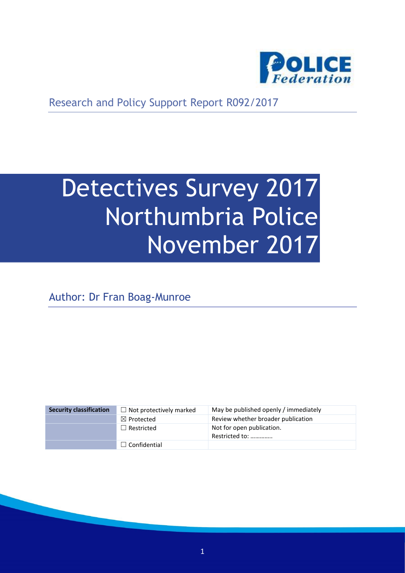

Research and Policy Support Report R092/2017

# Detectives Survey 2017 Northumbria Police November 2017

Author: Dr Fran Boag-Munroe

| <b>Security classification</b> | $\Box$ Not protectively marked | May be published openly / immediately       |
|--------------------------------|--------------------------------|---------------------------------------------|
|                                | $\boxtimes$ Protected          | Review whether broader publication          |
|                                | $\Box$ Restricted              | Not for open publication.<br>Restricted to: |
|                                | $\Box$ Confidential            |                                             |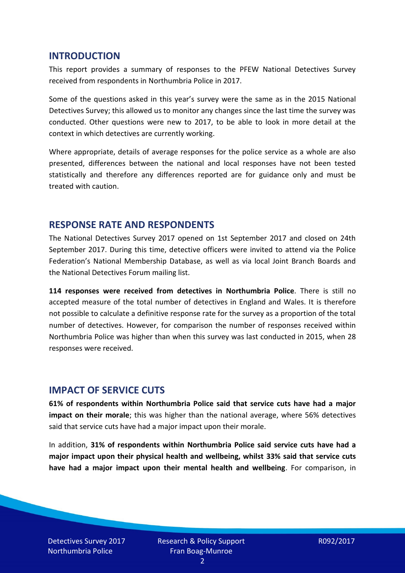#### **INTRODUCTION**

This report provides a summary of responses to the PFEW National Detectives Survey received from respondents in Northumbria Police in 2017.

Some of the questions asked in this year's survey were the same as in the 2015 National Detectives Survey; this allowed us to monitor any changes since the last time the survey was conducted. Other questions were new to 2017, to be able to look in more detail at the context in which detectives are currently working.

Where appropriate, details of average responses for the police service as a whole are also presented, differences between the national and local responses have not been tested statistically and therefore any differences reported are for guidance only and must be treated with caution.

#### **RESPONSE RATE AND RESPONDENTS**

The National Detectives Survey 2017 opened on 1st September 2017 and closed on 24th September 2017. During this time, detective officers were invited to attend via the Police Federation's National Membership Database, as well as via local Joint Branch Boards and the National Detectives Forum mailing list.

**114 responses were received from detectives in Northumbria Police**. There is still no accepted measure of the total number of detectives in England and Wales. It is therefore not possible to calculate a definitive response rate for the survey as a proportion of the total number of detectives. However, for comparison the number of responses received within Northumbria Police was higher than when this survey was last conducted in 2015, when 28 responses were received.

#### **IMPACT OF SERVICE CUTS**

**61% of respondents within Northumbria Police said that service cuts have had a major impact on their morale**; this was higher than the national average, where 56% detectives said that service cuts have had a major impact upon their morale.

In addition, **31% of respondents within Northumbria Police said service cuts have had a major impact upon their physical health and wellbeing, whilst 33% said that service cuts have had a major impact upon their mental health and wellbeing**. For comparison, in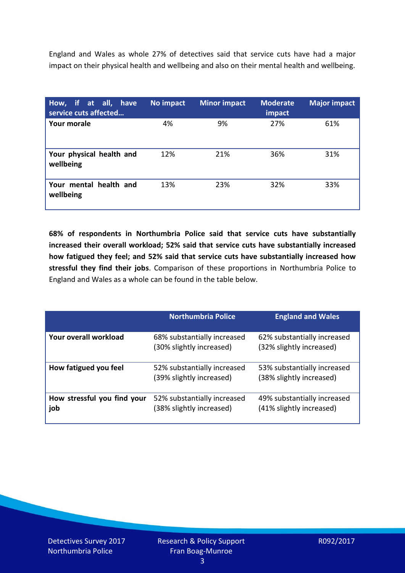England and Wales as whole 27% of detectives said that service cuts have had a major impact on their physical health and wellbeing and also on their mental health and wellbeing.

| How, if at all, have<br>service cuts affected | No impact | <b>Minor impact</b> | <b>Moderate</b><br>impact | <b>Major impact</b> |
|-----------------------------------------------|-----------|---------------------|---------------------------|---------------------|
| Your morale                                   | 4%        | 9%                  | 27%                       | 61%                 |
| Your physical health and<br>wellbeing         | 12%       | 21%                 | 36%                       | 31%                 |
| Your mental health and<br>wellbeing           | 13%       | 23%                 | 32%                       | 33%                 |

**68% of respondents in Northumbria Police said that service cuts have substantially increased their overall workload; 52% said that service cuts have substantially increased how fatigued they feel; and 52% said that service cuts have substantially increased how stressful they find their jobs**. Comparison of these proportions in Northumbria Police to England and Wales as a whole can be found in the table below.

|                                    | <b>Northumbria Police</b>                               | <b>England and Wales</b>                                |
|------------------------------------|---------------------------------------------------------|---------------------------------------------------------|
| Your overall workload              | 68% substantially increased<br>(30% slightly increased) | 62% substantially increased<br>(32% slightly increased) |
| How fatigued you feel              | 52% substantially increased<br>(39% slightly increased) | 53% substantially increased<br>(38% slightly increased) |
| How stressful you find your<br>job | 52% substantially increased<br>(38% slightly increased) | 49% substantially increased<br>(41% slightly increased) |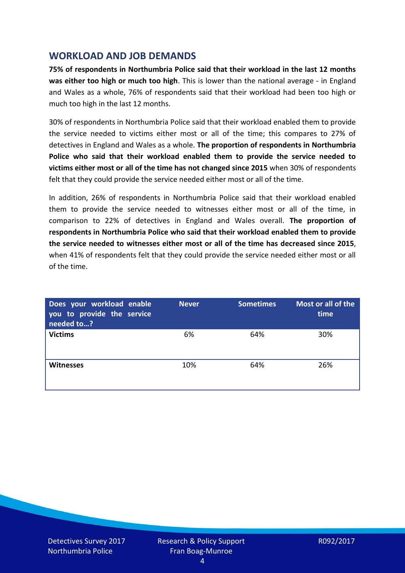## **WORKLOAD AND JOB DEMANDS**

**75% of respondents in Northumbria Police said that their workload in the last 12 months was either too high or much too high**. This is lower than the national average - in England and Wales as a whole, 76% of respondents said that their workload had been too high or much too high in the last 12 months.

30% of respondents in Northumbria Police said that their workload enabled them to provide the service needed to victims either most or all of the time; this compares to 27% of detectives in England and Wales as a whole. **The proportion of respondents in Northumbria Police who said that their workload enabled them to provide the service needed to victims either most or all of the time has not changed since 2015** when 30% of respondents felt that they could provide the service needed either most or all of the time.

In addition, 26% of respondents in Northumbria Police said that their workload enabled them to provide the service needed to witnesses either most or all of the time, in comparison to 22% of detectives in England and Wales overall. **The proportion of respondents in Northumbria Police who said that their workload enabled them to provide the service needed to witnesses either most or all of the time has decreased since 2015**, when 41% of respondents felt that they could provide the service needed either most or all of the time.

| Does your workload enable<br>you to provide the service<br>needed to? | <b>Never</b> | <b>Sometimes</b> | Most or all of the<br>time |
|-----------------------------------------------------------------------|--------------|------------------|----------------------------|
| <b>Victims</b>                                                        | 6%           | 64%              | 30%                        |
| <b>Witnesses</b>                                                      | 10%          | 64%              | 26%                        |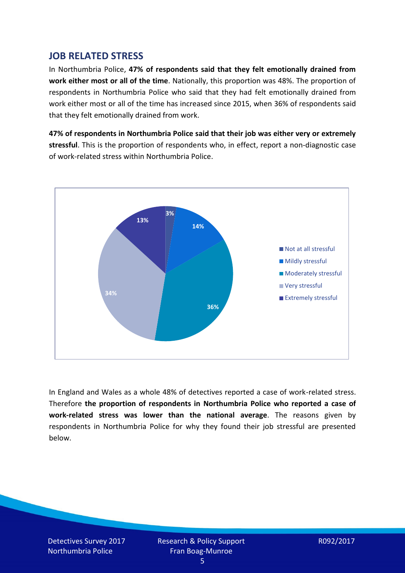## **JOB RELATED STRESS**

In Northumbria Police, **47% of respondents said that they felt emotionally drained from work either most or all of the time**. Nationally, this proportion was 48%. The proportion of respondents in Northumbria Police who said that they had felt emotionally drained from work either most or all of the time has increased since 2015, when 36% of respondents said that they felt emotionally drained from work.

**47% of respondents in Northumbria Police said that their job was either very or extremely stressful**. This is the proportion of respondents who, in effect, report a non-diagnostic case of work-related stress within Northumbria Police.



In England and Wales as a whole 48% of detectives reported a case of work-related stress. Therefore **the proportion of respondents in Northumbria Police who reported a case of work-related stress was lower than the national average**. The reasons given by respondents in Northumbria Police for why they found their job stressful are presented below.

Detectives Survey 2017 Northumbria Police

Research & Policy Support Fran Boag-Munroe

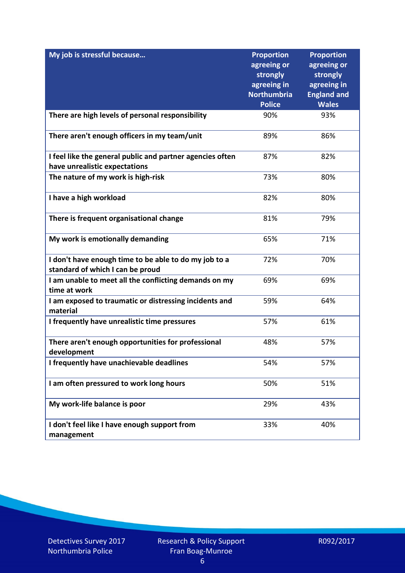| My job is stressful because                                                                | <b>Proportion</b><br>agreeing or<br>strongly<br>agreeing in<br><b>Northumbria</b><br><b>Police</b> | <b>Proportion</b><br>agreeing or<br>strongly<br>agreeing in<br><b>England and</b><br><b>Wales</b> |
|--------------------------------------------------------------------------------------------|----------------------------------------------------------------------------------------------------|---------------------------------------------------------------------------------------------------|
| There are high levels of personal responsibility                                           | 90%                                                                                                | 93%                                                                                               |
| There aren't enough officers in my team/unit                                               | 89%                                                                                                | 86%                                                                                               |
| I feel like the general public and partner agencies often<br>have unrealistic expectations | 87%                                                                                                | 82%                                                                                               |
| The nature of my work is high-risk                                                         | 73%                                                                                                | 80%                                                                                               |
| I have a high workload                                                                     | 82%                                                                                                | 80%                                                                                               |
| There is frequent organisational change                                                    | 81%                                                                                                | 79%                                                                                               |
| My work is emotionally demanding                                                           | 65%                                                                                                | 71%                                                                                               |
| I don't have enough time to be able to do my job to a<br>standard of which I can be proud  | 72%                                                                                                | 70%                                                                                               |
| I am unable to meet all the conflicting demands on my<br>time at work                      | 69%                                                                                                | 69%                                                                                               |
| I am exposed to traumatic or distressing incidents and<br>material                         | 59%                                                                                                | 64%                                                                                               |
| I frequently have unrealistic time pressures                                               | 57%                                                                                                | 61%                                                                                               |
| There aren't enough opportunities for professional<br>development                          | 48%                                                                                                | 57%                                                                                               |
| I frequently have unachievable deadlines                                                   | 54%                                                                                                | 57%                                                                                               |
| I am often pressured to work long hours                                                    | 50%                                                                                                | 51%                                                                                               |
| My work-life balance is poor                                                               | 29%                                                                                                | 43%                                                                                               |
| I don't feel like I have enough support from<br>management                                 | 33%                                                                                                | 40%                                                                                               |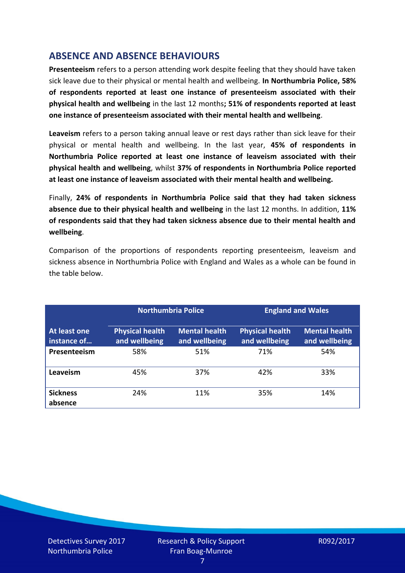# **ABSENCE AND ABSENCE BEHAVIOURS**

**Presenteeism** refers to a person attending work despite feeling that they should have taken sick leave due to their physical or mental health and wellbeing. **In Northumbria Police, 58% of respondents reported at least one instance of presenteeism associated with their physical health and wellbeing** in the last 12 months**; 51% of respondents reported at least one instance of presenteeism associated with their mental health and wellbeing**.

**Leaveism** refers to a person taking annual leave or rest days rather than sick leave for their physical or mental health and wellbeing. In the last year, **45% of respondents in Northumbria Police reported at least one instance of leaveism associated with their physical health and wellbeing**, whilst **37% of respondents in Northumbria Police reported at least one instance of leaveism associated with their mental health and wellbeing.**

Finally, **24% of respondents in Northumbria Police said that they had taken sickness absence due to their physical health and wellbeing** in the last 12 months. In addition, **11% of respondents said that they had taken sickness absence due to their mental health and wellbeing**.

Comparison of the proportions of respondents reporting presenteeism, leaveism and sickness absence in Northumbria Police with England and Wales as a whole can be found in the table below.

|                             |                                         | <b>Northumbria Police</b>             |                                         | <b>England and Wales</b>              |
|-----------------------------|-----------------------------------------|---------------------------------------|-----------------------------------------|---------------------------------------|
| At least one<br>instance of | <b>Physical health</b><br>and wellbeing | <b>Mental health</b><br>and wellbeing | <b>Physical health</b><br>and wellbeing | <b>Mental health</b><br>and wellbeing |
| Presenteeism                | 58%                                     | 51%                                   | 71%                                     | 54%                                   |
| Leaveism                    | 45%                                     | 37%                                   | 42%                                     | 33%                                   |
| <b>Sickness</b><br>absence  | 24%                                     | 11%                                   | 35%                                     | 14%                                   |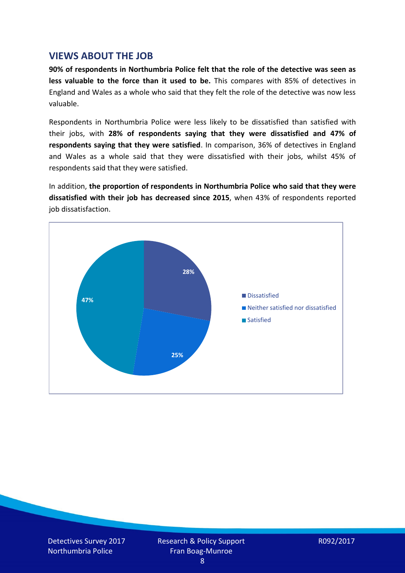### **VIEWS ABOUT THE JOB**

**90% of respondents in Northumbria Police felt that the role of the detective was seen as less valuable to the force than it used to be.** This compares with 85% of detectives in England and Wales as a whole who said that they felt the role of the detective was now less valuable.

Respondents in Northumbria Police were less likely to be dissatisfied than satisfied with their jobs, with **28% of respondents saying that they were dissatisfied and 47% of respondents saying that they were satisfied**. In comparison, 36% of detectives in England and Wales as a whole said that they were dissatisfied with their jobs, whilst 45% of respondents said that they were satisfied.

In addition, **the proportion of respondents in Northumbria Police who said that they were dissatisfied with their job has decreased since 2015**, when 43% of respondents reported job dissatisfaction.

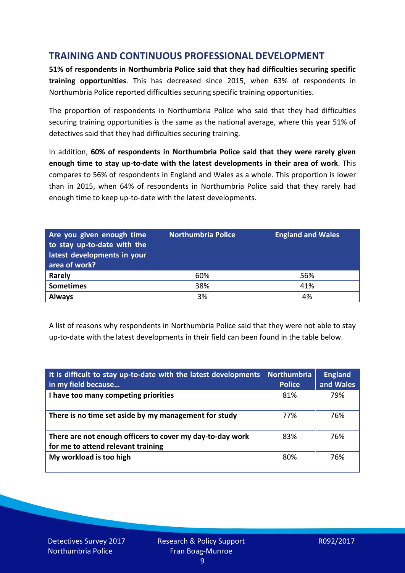# **TRAINING AND CONTINUOUS PROFESSIONAL DEVELOPMENT**

**51% of respondents in Northumbria Police said that they had difficulties securing specific training opportunities**. This has decreased since 2015, when 63% of respondents in Northumbria Police reported difficulties securing specific training opportunities.

The proportion of respondents in Northumbria Police who said that they had difficulties securing training opportunities is the same as the national average, where this year 51% of detectives said that they had difficulties securing training.

In addition, **60% of respondents in Northumbria Police said that they were rarely given enough time to stay up-to-date with the latest developments in their area of work**. This compares to 56% of respondents in England and Wales as a whole. This proportion is lower than in 2015, when 64% of respondents in Northumbria Police said that they rarely had enough time to keep up-to-date with the latest developments.

| Are you given enough time<br>to stay up-to-date with the<br>latest developments in your<br>area of work? | <b>Northumbria Police</b> | <b>England and Wales</b> |
|----------------------------------------------------------------------------------------------------------|---------------------------|--------------------------|
| <b>Rarely</b>                                                                                            | 60%                       | 56%                      |
| <b>Sometimes</b>                                                                                         | 38%                       | 41%                      |
| <b>Always</b>                                                                                            | 3%                        | 4%                       |

A list of reasons why respondents in Northumbria Police said that they were not able to stay up-to-date with the latest developments in their field can been found in the table below.

| It is difficult to stay up-to-date with the latest developments<br>in my field because          | <b>Northumbria</b><br><b>Police</b> | <b>England</b><br>and Wales |
|-------------------------------------------------------------------------------------------------|-------------------------------------|-----------------------------|
| I have too many competing priorities                                                            | 81%                                 | 79%                         |
| There is no time set aside by my management for study                                           | 77%                                 | 76%                         |
| There are not enough officers to cover my day-to-day work<br>for me to attend relevant training | 83%                                 | 76%                         |
| My workload is too high                                                                         | 80%                                 | 76%                         |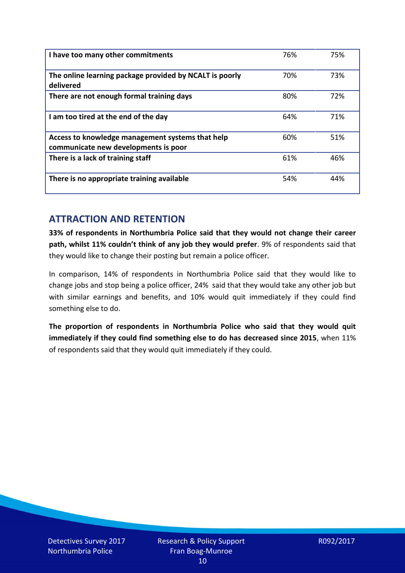| I have too many other commitments                                                        | 76% | 75% |
|------------------------------------------------------------------------------------------|-----|-----|
| The online learning package provided by NCALT is poorly<br>delivered                     | 70% | 73% |
| There are not enough formal training days                                                | 80% | 72% |
| I am too tired at the end of the day                                                     | 64% | 71% |
| Access to knowledge management systems that help<br>communicate new developments is poor | 60% | 51% |
| There is a lack of training staff                                                        | 61% | 46% |
| There is no appropriate training available                                               | 54% | 44% |

# **ATTRACTION AND RETENTION**

**33% of respondents in Northumbria Police said that they would not change their career path, whilst 11% couldn't think of any job they would prefer**. 9% of respondents said that they would like to change their posting but remain a police officer.

In comparison, 14% of respondents in Northumbria Police said that they would like to change jobs and stop being a police officer, 24% said that they would take any other job but with similar earnings and benefits, and 10% would quit immediately if they could find something else to do.

**The proportion of respondents in Northumbria Police who said that they would quit immediately if they could find something else to do has decreased since 2015**, when 11% of respondents said that they would quit immediately if they could.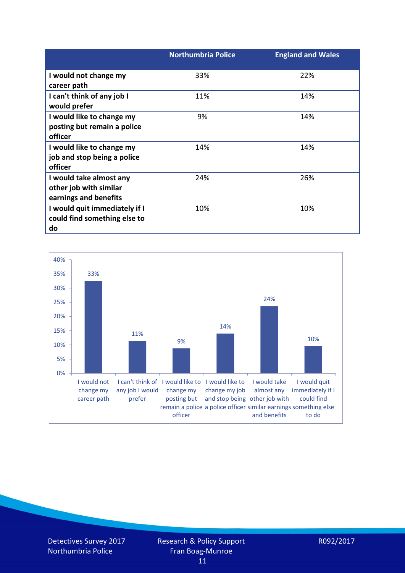|                                                                     | <b>Northumbria Police</b> | <b>England and Wales</b> |
|---------------------------------------------------------------------|---------------------------|--------------------------|
| I would not change my                                               | 33%                       | 22%                      |
| career path<br>I can't think of any job I                           | 11%                       | 14%                      |
| would prefer                                                        |                           |                          |
| I would like to change my                                           | 9%                        | 14%                      |
| posting but remain a police<br>officer                              |                           |                          |
| I would like to change my                                           | 14%                       | 14%                      |
| job and stop being a police<br>officer                              |                           |                          |
| I would take almost any                                             | 24%                       | 26%                      |
| other job with similar<br>earnings and benefits                     |                           |                          |
| I would quit immediately if I<br>could find something else to<br>do | 10%                       | 10%                      |